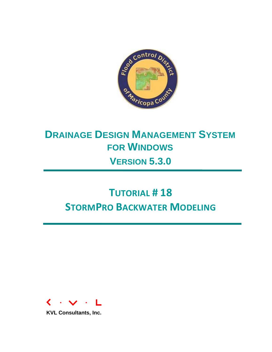

## **DRAINAGE DESIGN MANAGEMENT SYSTEM FOR WINDOWS VERSION 5.3.0**

# **TUTORIAL # 18 STORMPRO BACKWATER MODELING**



**KVL Consultants, Inc.**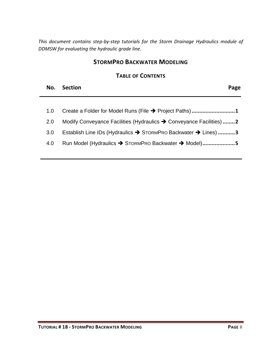*This document contains step-by-step tutorials for the Storm Drainage Hydraulics module of DDMSW for evaluating the hydraulic grade line.* 

#### **STORMPRO BACKWATER MODELING**

#### **TABLE OF CONTENTS**

| No. Section | Page |
|-------------|------|
|             |      |

| Create a Folder for Model Runs (File → Project Paths)1              | 1.0 |
|---------------------------------------------------------------------|-----|
| Modify Conveyance Facilities (Hydraulics → Conveyance Facilities) 2 | 2.0 |
| Establish Line IDs (Hydraulics → STORMPRO Backwater → Lines) 3      | 3.0 |

4.0 [Run Model \(Hydraulics](#page-6-0) → STORMPRO Backwater → Model).....................5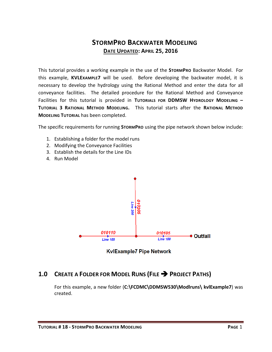### **STORMPRO BACKWATER MODELING DATE UPDATED: APRIL 25, 2016**

This tutorial provides a working example in the use of the **STORMPRO** Backwater Model. For this example, **KVLEXAMPLE7** will be used. Before developing the backwater model, it is necessary to develop the hydrology using the Rational Method and enter the data for all conveyance facilities. The detailed procedure for the Rational Method and Conveyance Facilities for this tutorial is provided in **TUTORIALS FOR DDMSW HYDROLOGY MODELING – TUTORIAL 3 RATIONAL METHOD MODELING.** This tutorial starts after the **RATIONAL METHOD MODELING TUTORIAL** has been completed.

The specific requirements for running **STORMPRO** using the pipe network shown below include:

- 1. Establishing a folder for the model runs
- 2. Modifying the Conveyance Facilities
- 3. Establish the details for the Line IDs
- 4. Run Model



**KvlExample7 Pipe Network** 

#### <span id="page-2-0"></span>**1.0 CREATE A FOLDER FOR MODEL RUNS (FILE PROJECT PATHS)**

For this example, a new folder (**C:\FCDMC\DDMSW530\Modlruns\ kvlExample7**) was created.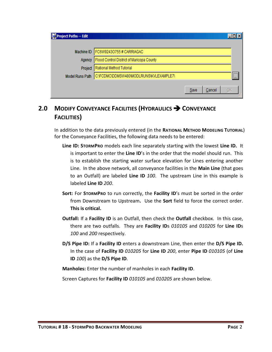| Project Paths -- Edit  |                                           |      |        |               |
|------------------------|-------------------------------------------|------|--------|---------------|
|                        | Machine ID   FC6W92430755# CARRIAGAC      |      |        |               |
| Agency                 | Flood Control District of Maricopa County |      |        |               |
| Project                | Rational Method Tutorial                  |      |        |               |
| <b>Model Runs Path</b> | C:\FCDMC\DDMSW480\MODLRUNS\KVLEXAMPLE7\   |      |        | $\frac{1}{2}$ |
|                        |                                           | Save | Cancel | <u>о</u> к    |

## <span id="page-3-0"></span>**2.0 MODIFY CONVEYANCE FACILITIES (HYDRAULICS CONVEYANCE FACILITIES)**

In addition to the data previously entered (in the **RATIONAL METHOD MODELING TUTORIAL**) for the Conveyance Facilities, the following data needs to be entered:

- **Line ID: STORMPRO** models each line separately starting with the lowest **Line ID.** It is important to enter the **Line ID**'s in the order that the model should run. This is to establish the starting water surface elevation for Lines entering another Line. In the above network, all conveyance facilities in the **Main Line** (that goes to an Outfall) are labeled **Line ID** *100*. The upstream Line in this example is labeled **Line ID** *200*.
- **Sort:** For **STORMPRO** to run correctly, the **Facility ID**'s must be sorted in the order from Downstream to Upstream**.** Use the **Sort** field to force the correct order. **This is critical.**
- **Outfall:** If a **Facility ID** is an Outfall, then check the **Outfall** checkbox. In this case, there are two outfalls. They are **Facility ID**s *010105* and *010205* for **Line ID**s *100* and *200* respectively.
- **D/S Pipe ID:** If a **Facility ID** enters a downstream Line, then enter the **D/S Pipe ID.**  In the case of **Facility ID** *010205* for **Line ID** *200*, enter **Pipe ID** *010105* (of **Line ID** *100*) as the **D/S Pipe ID**.

**Manholes:** Enter the number of manholes in each **Facility ID**.

Screen Captures for **Facility ID** *010105* and *010205* are shown below.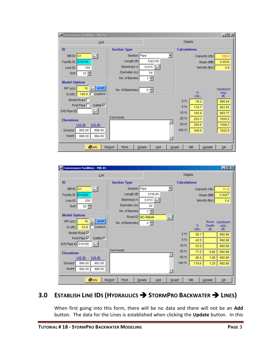| Conveyance Facilities - MB: 01        |                                         |         |       |                     |           |                | $-121 \times$          |
|---------------------------------------|-----------------------------------------|---------|-------|---------------------|-----------|----------------|------------------------|
| List                                  |                                         |         |       | <b>Details</b>      |           |                |                        |
| ID                                    | <b>Section Type</b>                     |         |       | <b>Calculations</b> |           |                |                        |
| $MB$ ID $ 01$                         | Section Pipe                            |         |       |                     |           | Capacity (cfs) | 108.0                  |
| 010105<br>Facility ID                 | Length (ft)                             | 1323.00 |       |                     |           | Slope (ft/ft)  | 0.0030                 |
| Line ID<br>100                        | Manning's n                             | 0.013   |       |                     |           | Velocity (fps) | 6.8                    |
| $10 -$<br>Sort                        | Diameter (in)                           | 54      |       |                     |           |                |                        |
| <b>Model Options</b>                  | No. of Barrels                          | ÷<br>1  |       |                     |           |                |                        |
|                                       |                                         |         |       |                     |           |                |                        |
| All RP<br>RP (yrs)<br>10              | No. of Manholes                         | $0 -$   |       |                     | $\Omega$  |                | Upstream<br><b>HGL</b> |
| 145.9 □ Custom<br>Q(cts)              |                                         |         |       |                     | (cfs)     |                | (f <sup>th</sup> )     |
| Model Road $\Box$                     |                                         |         |       | 2Yr                 | 78.2      |                | 990.64                 |
| Outfall $\nabla$<br>First Pipe $\Box$ |                                         |         |       | 5 Yr                | 115.7     |                | 991.55                 |
| D/S Pipe ID                           |                                         |         |       | 10 Yr               | 145.9     |                | 993.77                 |
| <b>Elevations</b>                     | Comments                                |         |       | 25 Yr               | 203.3     |                | 1000.2                 |
| U/S(f)<br>$D/S$ (ft)                  |                                         |         |       | 50 Yr               | 256.6     |                | 1008.2                 |
| 993.00<br>988.00<br>Ground            |                                         |         |       | 100 Yr              | 308.9     |                | 1022.9                 |
| 988.00<br>Invert<br>984.00            |                                         |         |       |                     |           |                |                        |
|                                       |                                         |         |       |                     |           |                |                        |
| <b>O</b> Info                         | <b>Resort</b><br>Print<br><b>Delete</b> | Add     | Graph |                     | <b>MB</b> | Update         | QK                     |

| Conveyance Facilities - MB: 01        |                                  |          |                          |                     |           |                    | $\Box$ D $\times$               |
|---------------------------------------|----------------------------------|----------|--------------------------|---------------------|-----------|--------------------|---------------------------------|
| List                                  |                                  |          |                          | Details             |           |                    |                                 |
| ID                                    | <b>Section Type</b>              |          |                          | <b>Calculations</b> |           |                    |                                 |
| <b>MBID</b> 01                        | Section Pipe                     |          | $\overline{\phantom{a}}$ |                     |           | Capacity (cfs)     | 51.8                            |
| Facility ID   010205                  | Length (ft)                      | 1318.00  |                          |                     |           | Slope (ft/ft)      | 0.0027                          |
| Line ID<br>200                        | Manning's n                      | 0.013    |                          |                     |           | Velocity (fps)     | 5.4                             |
| $30 -$<br>Sort                        | Diameter (in)                    | 42       |                          |                     |           |                    |                                 |
|                                       | No. of Barrels                   | 클        |                          |                     |           |                    |                                 |
| <b>Model Options</b>                  | Road ID MC-RMAR                  |          |                          |                     |           |                    |                                 |
| All RP<br>RP (yrs)<br>10 <sup>1</sup> | No. of Manholes                  | $0 \div$ |                          |                     | Q         | Road<br>Depth      | Upstream                        |
| $^-$ Custom<br>53.9<br>Q(cts)         |                                  |          |                          |                     | (cfs)     | (f <sup>th</sup> ) | <b>HGL</b><br>(f <sup>t</sup> ) |
| Model Road <sup>√</sup>               |                                  |          |                          | 2Yr                 | 28.1      |                    | 992.88                          |
| First Pipe $\nabla$<br><b>Outfall</b> |                                  |          |                          | 5Yr                 | 42.5      |                    | 992.88                          |
| D/S Pipe ID 010105                    |                                  |          |                          | 10 Yr               | 53.9      |                    | 992.88                          |
| <b>Elevations</b>                     | <b>Comments</b>                  |          |                          | 25 Yr               | 77.5      | 0.86               | 992.88                          |
| U/S(f)<br>D/S(f)                      |                                  |          |                          | 50 Yr               | 98.6      | 1.08               | 992.88                          |
| 993.00<br>996.00<br>Ground            |                                  |          |                          | 100 Yr              | 119.6     | 1.20               | 992.88                          |
| 988.50<br>Invert<br>992.00            |                                  |          |                          |                     |           |                    |                                 |
| <b>Olnfo</b>                          | <b>ReSort</b><br>Print<br>Delete | Add      | Graph                    |                     | <b>MB</b> | Update             | QK                              |

## <span id="page-4-0"></span>**3.0 ESTABLISH LINE IDS (HYDRAULICS STORMPRO BACKWATER LINES)**

When first going into this form, there will be no data and there will not be an **Add** button. The data for the Lines is established when clicking the **Update** button. In this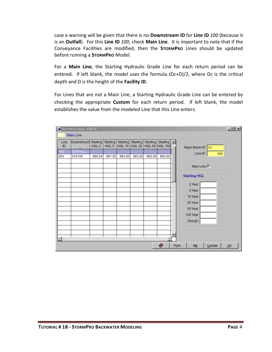case a warning will be given that there is no **Downstream ID** for **Line ID** *100* (because it is an **Outfall**). For this **Line ID** *100*, check **Main Line**. It is important to note that if the Conveyance Facilities are modified, then the **STORMPRO** Lines should be updated before running a **STORMPRO** Model.

For a **Main Line**, the Starting Hydraulic Grade Line for each return period can be entered. If left blank, the model uses the formula (Dc+D)/2, where Dc is the critical depth and D is the height of the **Facility ID**.

For Lines that are not a Main Line, a Starting Hydraulic Grade Line can be entered by checking the appropriate **Custom** for each return period. If left blank, the model establishes the value from the modeled Line that this Line enters.

|            | StormPro Lines - MB: 01<br>Main Line |                  |                              |                 |                           |                           |                            |                     |        | $\Box$ |
|------------|--------------------------------------|------------------|------------------------------|-----------------|---------------------------|---------------------------|----------------------------|---------------------|--------|--------|
| Line<br>ID | Downstream Starting                  | HGL <sub>2</sub> | Starting<br>HGL <sub>5</sub> | <b>Starting</b> | Starting<br>HGL 10 HGL 25 | Starting<br><b>HGL 50</b> | Starting<br><b>HGL 100</b> | Major Basin ID 01   |        |        |
| 100        | <b>OUTFALL</b>                       |                  |                              |                 |                           |                           |                            | Line ID             | 100    |        |
| 200        | 010105                               | 990.64           | 991.55                       | 993.00          | 993.00                    | 993.00                    | 993.00                     |                     |        |        |
|            |                                      |                  |                              |                 |                           |                           |                            | Main Line <b>I</b>  |        |        |
|            |                                      |                  |                              |                 |                           |                           |                            | <b>Starting HGL</b> |        |        |
|            |                                      |                  |                              |                 |                           |                           |                            | 2 Year              |        |        |
|            |                                      |                  |                              |                 |                           |                           |                            | 5 Year              |        |        |
|            |                                      |                  |                              |                 |                           |                           |                            | 10 Year             |        |        |
|            |                                      |                  |                              |                 |                           |                           |                            | 25 Year             |        |        |
|            |                                      |                  |                              |                 |                           |                           |                            | 50 Year             |        |        |
|            |                                      |                  |                              |                 |                           |                           |                            | 100 Year            |        |        |
|            |                                      |                  |                              |                 |                           |                           |                            | Design              |        |        |
|            |                                      |                  |                              |                 |                           |                           |                            |                     |        |        |
|            |                                      |                  |                              |                 |                           |                           |                            |                     |        |        |
|            |                                      |                  |                              |                 |                           |                           |                            |                     |        |        |
|            |                                      |                  |                              |                 |                           |                           | Ø                          | Print<br>MB         | Update | QK     |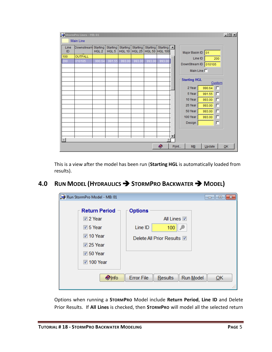|            | StormPro Lines - MB: 01 |                              |                              |                                  |                    |                                  |                                                   |       |                               | $\Box$ |
|------------|-------------------------|------------------------------|------------------------------|----------------------------------|--------------------|----------------------------------|---------------------------------------------------|-------|-------------------------------|--------|
|            | <b>Main Line</b>        |                              |                              |                                  |                    |                                  |                                                   |       |                               |        |
| Line<br>ID | Downstream              | Starting<br>HGL <sub>2</sub> | Starting<br>HGL <sub>5</sub> | <b>Starting</b><br><b>HGL 10</b> | Starting<br>HGL 25 | <b>Starting</b><br><b>HGL 50</b> | Starting $\vert \blacktriangle$<br><b>HGL 100</b> |       | Major Basin ID 01             |        |
| 100        | <b>OUTFALL</b>          |                              |                              |                                  |                    |                                  |                                                   |       | Line ID<br>200                |        |
| 200        | 010105                  | 990.64                       | 991.55                       | 993.00                           | 993.00             | 993.00                           | 993.00                                            |       | DownStream ID<br> 010105      |        |
|            |                         |                              |                              |                                  |                    |                                  |                                                   |       | Main Line $\Box$              |        |
|            |                         |                              |                              |                                  |                    |                                  |                                                   |       | <b>Starting HGL</b><br>Custom |        |
|            |                         |                              |                              |                                  |                    |                                  |                                                   |       | 990.64<br>2 Year<br>г         |        |
|            |                         |                              |                              |                                  |                    |                                  |                                                   |       | 5 Year<br>991.55<br>г         |        |
|            |                         |                              |                              |                                  |                    |                                  |                                                   |       | 10 Year<br>993.00<br>г        |        |
|            |                         |                              |                              |                                  |                    |                                  |                                                   |       | 25 Year<br>993.00<br>г        |        |
|            |                         |                              |                              |                                  |                    |                                  |                                                   |       | 50 Year<br>993.00<br>г        |        |
|            |                         |                              |                              |                                  |                    |                                  |                                                   |       | 100 Year<br>993.00<br>г       |        |
|            |                         |                              |                              |                                  |                    |                                  |                                                   |       | Design<br>г                   |        |
|            |                         |                              |                              |                                  |                    |                                  |                                                   |       |                               |        |
|            |                         |                              |                              |                                  |                    |                                  |                                                   |       |                               |        |
|            |                         |                              |                              |                                  |                    |                                  |                                                   |       |                               |        |
|            |                         |                              |                              |                                  |                    |                                  | O                                                 | Print | ME<br>$U$ pdate               | QK     |

This is a view after the model has been run (**Starting HGL** is automatically loaded from results).

## <span id="page-6-0"></span>**4.0 RUN MODEL (HYDRAULICS STORMPRO BACKWATER MODEL)**

| Run StormPro Model - MB: 01 | $\begin{array}{c c c c c c} \hline \multicolumn{3}{c }{\mathbf{C}} & \multicolumn{3}{c }{\mathbf{C}} & \multicolumn{3}{c }{\mathbf{X}} \end{array}$ |
|-----------------------------|-----------------------------------------------------------------------------------------------------------------------------------------------------|
| <b>Return Period</b>        | <b>Options</b>                                                                                                                                      |
| <b>☑</b> 2 Year             | All Lines <b>☑</b>                                                                                                                                  |
| $\overline{v}$ 5 Year       | Line ID<br>100                                                                                                                                      |
| 7 10 Year                   | Delete All Prior Results V                                                                                                                          |
| $\sqrt{25}$ Year            |                                                                                                                                                     |
| $\sqrt{2}$ 50 Year          |                                                                                                                                                     |
| <b>■ 100 Year</b>           |                                                                                                                                                     |
| <b>Olnfo</b>                | <b>Error File</b><br>Run Model<br>Results<br>QK<br>аï                                                                                               |

Options when running a **STORMPRO** Model include **Return Period**, **Line ID** and Delete Prior Results. If **All Lines** is checked, then **STORMPRO** will model all the selected return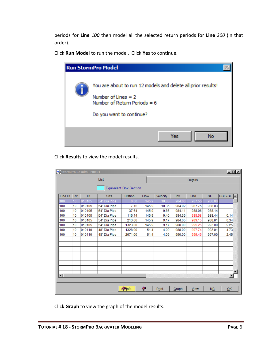periods for **Line** *100* then model all the selected return periods for **Line** *200* (in that order).

Click **Run Model** to run the model. Click **Ye**s to continue.

| <b>Run StormPro Model</b>                                                                                                                           |  |
|-----------------------------------------------------------------------------------------------------------------------------------------------------|--|
| You are about to run 12 models and delete all prior results!<br>Number of Lines $= 2$<br>Number of Return Periods = $6$<br>Do you want to continue? |  |
| Yes<br>No                                                                                                                                           |  |

Click **Results** to view the model results.

|                        |           | StormPro Results - MB: 01 |              |                               |       |          |        |            |           | $-121 \times$            |  |
|------------------------|-----------|---------------------------|--------------|-------------------------------|-------|----------|--------|------------|-----------|--------------------------|--|
|                        |           |                           | List         |                               |       |          |        | Details    |           |                          |  |
|                        |           |                           |              | <b>Equivalent Box Section</b> |       |          |        |            |           |                          |  |
| Line ID                | <b>RP</b> | ID                        | <b>Size</b>  | <b>Station</b>                | Flow  | Velocity | Inv    | <b>HGL</b> | <b>GE</b> | $HGL > GE$ $\rightarrow$ |  |
| 100                    | 10        | 010105                    | 54" Dia Pipe | 0.00                          | 145.9 | 10.85    | 984.00 | 987.55     | 988.00    |                          |  |
| 100                    | 10        | 010105                    | 54" Dia Pipe | 7.12                          | 145.9 | 10.35    | 984.02 | 987.75     | 988.03    |                          |  |
| 100                    | 10        | 010105                    | 54" Dia Pipe | 37.64                         | 145.9 | 9.86     | 984.11 | 988.06     | 988.14    |                          |  |
| 100                    | 10        | 010105                    | 54" Dia Pipe | 115.14                        | 145.9 | 9.40     | 984.35 | 988.58     | 988.44    | 0.14                     |  |
| 100                    | 10        | 010105                    | 54" Dia Pipe | 213.66                        | 145.9 | 9.17     | 984.65 | 989.15     | 988.81    | 0.34                     |  |
| 100                    | 10        | 010105                    | 54" Dia Pipe | 1323.00                       | 145.9 | 9.17     | 988.00 | 995.25     | 993.00    | 2.25                     |  |
| 100                    | 10        | 010110                    | 48" Dia Pipe | 1328.00                       | 51.4  | 4.09     | 988.00 | 997.74     | 993.01    | 4.73                     |  |
| 100                    | 10        | 010110                    | 48" Dia Pipe | 2671.00                       | 51.4  | 4.09     | 990.00 | 999.45     | 997.00    | 2.45                     |  |
|                        |           |                           |              |                               |       |          |        |            |           |                          |  |
|                        |           |                           |              |                               |       |          |        |            |           |                          |  |
|                        |           |                           |              |                               |       |          |        |            |           |                          |  |
|                        |           |                           |              |                               |       |          |        |            |           |                          |  |
|                        |           |                           |              |                               |       |          |        |            |           |                          |  |
|                        |           |                           |              |                               |       |          |        |            |           |                          |  |
| $\left  \cdot \right $ |           |                           |              |                               |       |          |        |            |           | $\blacktriangleright$    |  |
|                        |           |                           |              |                               |       |          |        |            |           |                          |  |
|                        |           |                           |              | <b>O</b> Info                 | Ø     | Print    | Graph  | View       | MB        | QK                       |  |

Click **Graph** to view the graph of the model results.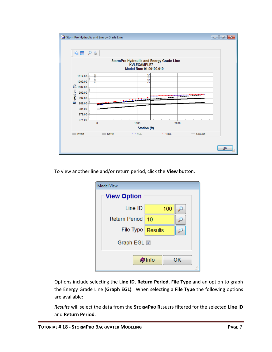

To view another line and/or return period, click the **View** button.

| <b>Model View</b>    |                 |    |
|----------------------|-----------------|----|
| <b>View Option</b>   |                 |    |
| Line ID              | 100             |    |
| <b>Return Period</b> | 10              |    |
| File Type   Results  |                 |    |
| Graph EGL <b>I</b>   |                 |    |
|                      | $\bigcirc$ Info | ΟK |

Options include selecting the **Line ID**, **Return Period**, **File Type** and an option to graph the Energy Grade Line (**Graph EGL**). When selecting a **File Type** the following options are available:

*Results* will select the data from the **STORMPRO RESULTS** filtered for the selected **Line ID** and **Return Period**.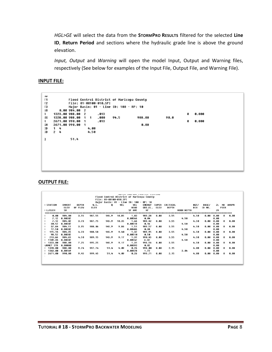*HGL>GE* will select the data from the STORMPRO RESULTS filtered for the selected Line **ID**, **Return Period** and sections where the hydraulic grade line is above the ground elevation.

*Input, Output* and *Warning* will open the model Input, Output and Warning files, respectively (See below for examples of the Input File, Output File, and Warning File).

#### **INPUT FILE:**

```
Jυ
\mathsf{r}_1Flood Control District of Maricopa County
\Gamma2
                File: 01-00100-010.SPI
Г3
                Major Basin: 01 - Line ID: 100 - RP: 10
\mathbf{50}0.00984.0021323.00 988.00 2
                                   .0130.000
ł.
JX
      1328.00 988.00
                                   . 00094.5
                                                              988.00
                                                                                 98.8
                          \mathbf 1\mathbf{1}2671.00 990.00
                                   .0130.000\mathbf{z}\mathbf{1}šН
      2671.00 990.00
                                                                0.00\overline{\mathbf{1}}4.00CD1 - 4C.
      2 - 44.50
                 51.4
\pmb{\wr}
```
#### **OUTPUT FILE:**

|                   |               |              |        |                        |       |                                  | THE LEFT CHAINS FINAL IS THAT A LIGHT CLASS CATTLE |              |              |                   |      |              |       |                |       |
|-------------------|---------------|--------------|--------|------------------------|-------|----------------------------------|----------------------------------------------------|--------------|--------------|-------------------|------|--------------|-------|----------------|-------|
|                   |               |              |        |                        |       |                                  | Flood Control District of Maricopa County          |              |              |                   |      |              |       |                |       |
|                   |               |              |        | File: 01-00100-010.SPI |       |                                  |                                                    |              |              |                   |      |              |       |                |       |
|                   |               |              |        |                        |       | Major Basin: 01 - Line ID: 100 - | RP: 10                                             |              |              |                   |      |              |       |                |       |
| <b>I STATION</b>  | <b>INUERT</b> | <b>DEPTH</b> | W.S.   | 0                      | UEL   | <b>UEL</b>                       | <b>ENERGY</b>                                      | <b>SUPER</b> | CRITICAL     |                   | HGT/ | <b>BASE/</b> | ZL    | N <sub>0</sub> | AUBPR |
|                   | ELEU          | OF FLOW      | ELEU   |                        |       | <b>HEAD</b>                      | GRD.EL.                                            | ELEU         | <b>DEPTH</b> |                   | DIA  | ID NO.       |       | PIER           |       |
| I L/ELEM          | SO.           |              |        |                        |       | SF AVE                           | HF                                                 |              |              | <b>NORM DEPTH</b> |      |              | ZR    |                |       |
|                   |               |              |        |                        |       |                                  |                                                    |              |              |                   |      |              |       |                |       |
| 0.00              | 984.00        | 3.55         | 987.55 | 145.9                  | 10.85 | 1.83                             | 989.38                                             | ព. ពព        | 3.55         |                   | 4.50 | 0.00         | ព. ពព | п              | 0.00  |
| 7.12              | 8.00302       |              |        |                        |       | 8.00566                          | 0.04                                               |              |              | 4.50              |      |              | 0.00  |                |       |
| 7.12              | 984.02        | 3.73         | 987.75 | 145.9                  | 10.35 | 1.66                             | 989.42                                             | 8.00         | 3.55         |                   | 4.50 | 8.00         | 8.00  | п              | 0.00  |
| 30.52             | 8.00302       |              |        |                        |       | 0.00518                          | 0.16                                               |              |              | 4.50              |      |              | 8.88  |                |       |
| 37.64             | 984.11        | 3.95         | 988.06 | 145.9                  | 9.86  | 1.51                             | 989.57                                             | 8.88         | 3.55         |                   | 4.50 | 8.00         | 0.00  | п              | 0.00  |
| 77.50             | 8.00302       |              |        |                        |       | 0.00486                          | 0.38                                               |              |              | 4.50              |      |              | 0.00  |                |       |
| 115.14            | 984.35        | 4.23         | 988.58 | 145.9                  | 9.40  | 1.37                             | 989.95                                             | 8.00         | 3.55         |                   | 4.50 | 8.00         | 0.00  | a              | 0.00  |
| 98.52             | 8.00302       |              |        |                        |       | 0.00510                          | 0.50                                               |              |              | 4.50              |      |              | 8.00  |                |       |
| 213.66            | 984.65        | 4.50         | 989.15 | 145.9                  | 9.17  | 1.31                             | 998.45                                             | 8.00         | 3.55         |                   | 4.50 | 8.00         | 0.00  | п              | 0.00  |
| 1109.34           | 8.00302       |              |        |                        |       | 0.00547                          | 6.07                                               |              |              | 4.50              |      |              | 0.00  |                |       |
| 1323.00           | 988.00        | 7.25         | 995.25 | 145.9                  | 9.17  | 1.31                             | 996.56                                             | 8.88         | 3.55         |                   | 4.50 | ន. នន        | 0.00  | ø              | 0.00  |
| <b>IJUNCT STR</b> | 0.00000       |              |        |                        |       | 0.00393                          | 0.02                                               |              |              |                   |      |              | 8.00  |                |       |
| 1 1328.00         | 988.00        | 9.74         | 997.74 | 51.4                   | 4.09  | 0.26                             | 998.00                                             | 8.00         | 2.15         |                   | 4.00 | 8.00         | 0.00  | а              | 0.00  |
| 1343.00           | 8.00149       |              |        |                        |       | 0.00128                          | 1.72                                               |              |              | 3.04              |      |              | 8.00  |                |       |
| 2671.00           | 998.88        | 9.45         | 999.45 | 51.4                   | 4.09  | 0.26                             | 999.71                                             | 0.00         | 2.15         |                   | 4.00 | 9.00         | 0.00  | а              | 8.88  |
|                   |               |              |        |                        |       |                                  |                                                    |              |              |                   |      |              |       |                |       |
|                   |               |              |        |                        |       |                                  |                                                    |              |              |                   |      |              |       |                |       |
|                   |               |              |        |                        |       |                                  |                                                    |              |              |                   |      |              |       |                |       |
|                   |               |              |        |                        |       |                                  |                                                    |              |              |                   |      |              |       |                |       |